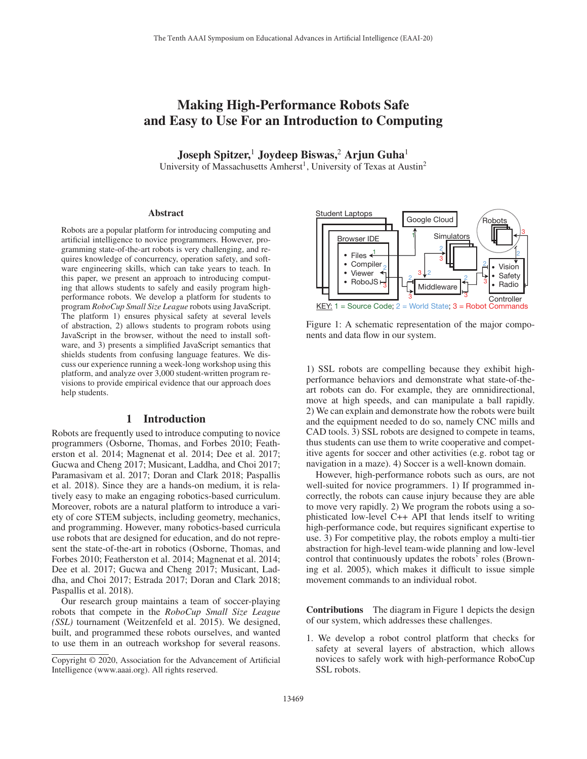# Making High-Performance Robots Safe and Easy to Use For an Introduction to Computing

Joseph Spitzer,<sup>1</sup> Joydeep Biswas,<sup>2</sup> Arjun Guha<sup>1</sup>

University of Massachusetts Amherst<sup>1</sup>, University of Texas at Austin<sup>2</sup>

#### Abstract

Robots are a popular platform for introducing computing and artificial intelligence to novice programmers. However, programming state-of-the-art robots is very challenging, and requires knowledge of concurrency, operation safety, and software engineering skills, which can take years to teach. In this paper, we present an approach to introducing computing that allows students to safely and easily program highperformance robots. We develop a platform for students to program *RoboCup Small Size League* robots using JavaScript. The platform 1) ensures physical safety at several levels of abstraction, 2) allows students to program robots using JavaScript in the browser, without the need to install software, and 3) presents a simplified JavaScript semantics that shields students from confusing language features. We discuss our experience running a week-long workshop using this platform, and analyze over 3,000 student-written program revisions to provide empirical evidence that our approach does help students.

#### 1 Introduction

Robots are frequently used to introduce computing to novice programmers (Osborne, Thomas, and Forbes 2010; Featherston et al. 2014; Magnenat et al. 2014; Dee et al. 2017; Gucwa and Cheng 2017; Musicant, Laddha, and Choi 2017; Paramasivam et al. 2017; Doran and Clark 2018; Paspallis et al. 2018). Since they are a hands-on medium, it is relatively easy to make an engaging robotics-based curriculum. Moreover, robots are a natural platform to introduce a variety of core STEM subjects, including geometry, mechanics, and programming. However, many robotics-based curricula use robots that are designed for education, and do not represent the state-of-the-art in robotics (Osborne, Thomas, and Forbes 2010; Featherston et al. 2014; Magnenat et al. 2014; Dee et al. 2017; Gucwa and Cheng 2017; Musicant, Laddha, and Choi 2017; Estrada 2017; Doran and Clark 2018; Paspallis et al. 2018).

Our research group maintains a team of soccer-playing robots that compete in the *RoboCup Small Size League (SSL)* tournament (Weitzenfeld et al. 2015). We designed, built, and programmed these robots ourselves, and wanted to use them in an outreach workshop for several reasons.



Figure 1: A schematic representation of the major components and data flow in our system.

1) SSL robots are compelling because they exhibit highperformance behaviors and demonstrate what state-of-theart robots can do. For example, they are omnidirectional, move at high speeds, and can manipulate a ball rapidly. 2) We can explain and demonstrate how the robots were built and the equipment needed to do so, namely CNC mills and CAD tools. 3) SSL robots are designed to compete in teams, thus students can use them to write cooperative and competitive agents for soccer and other activities (e.g. robot tag or navigation in a maze). 4) Soccer is a well-known domain.

However, high-performance robots such as ours, are not well-suited for novice programmers. 1) If programmed incorrectly, the robots can cause injury because they are able to move very rapidly. 2) We program the robots using a sophisticated low-level C++ API that lends itself to writing high-performance code, but requires significant expertise to use. 3) For competitive play, the robots employ a multi-tier abstraction for high-level team-wide planning and low-level control that continuously updates the robots' roles (Browning et al. 2005), which makes it difficult to issue simple movement commands to an individual robot.

Contributions The diagram in Figure 1 depicts the design of our system, which addresses these challenges.

1. We develop a robot control platform that checks for safety at several layers of abstraction, which allows novices to safely work with high-performance RoboCup SSL robots.

Copyright © 2020, Association for the Advancement of Artificial Intelligence (www.aaai.org). All rights reserved.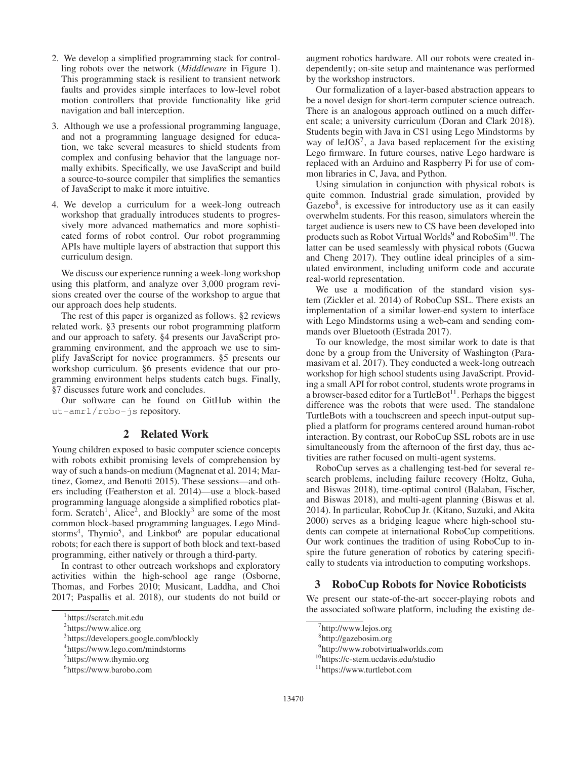- 2. We develop a simplified programming stack for controlling robots over the network (*Middleware* in Figure 1). This programming stack is resilient to transient network faults and provides simple interfaces to low-level robot motion controllers that provide functionality like grid navigation and ball interception.
- 3. Although we use a professional programming language, and not a programming language designed for education, we take several measures to shield students from complex and confusing behavior that the language normally exhibits. Specifically, we use JavaScript and build a source-to-source compiler that simplifies the semantics of JavaScript to make it more intuitive.
- 4. We develop a curriculum for a week-long outreach workshop that gradually introduces students to progressively more advanced mathematics and more sophisticated forms of robot control. Our robot programming APIs have multiple layers of abstraction that support this curriculum design.

We discuss our experience running a week-long workshop using this platform, and analyze over 3,000 program revisions created over the course of the workshop to argue that our approach does help students.

The rest of this paper is organized as follows. §2 reviews related work. §3 presents our robot programming platform and our approach to safety. §4 presents our JavaScript programming environment, and the approach we use to simplify JavaScript for novice programmers. §5 presents our workshop curriculum. §6 presents evidence that our programming environment helps students catch bugs. Finally, §7 discusses future work and concludes.

Our software can be found on GitHub within the ut-amrl/robo-js repository.

# 2 Related Work

Young children exposed to basic computer science concepts with robots exhibit promising levels of comprehension by way of such a hands-on medium (Magnenat et al. 2014; Martinez, Gomez, and Benotti 2015). These sessions—and others including (Featherston et al. 2014)—use a block-based programming language alongside a simplified robotics platform. Scratch<sup>1</sup>, Alice<sup>2</sup>, and Blockly<sup>3</sup> are some of the most common block-based programming languages. Lego Mindstorms<sup>4</sup>, Thymio<sup>5</sup>, and Linkbot<sup>6</sup> are popular educational robots; for each there is support of both block and text-based programming, either natively or through a third-party.

In contrast to other outreach workshops and exploratory activities within the high-school age range (Osborne, Thomas, and Forbes 2010; Musicant, Laddha, and Choi 2017; Paspallis et al. 2018), our students do not build or

augment robotics hardware. All our robots were created independently; on-site setup and maintenance was performed by the workshop instructors.

Our formalization of a layer-based abstraction appears to be a novel design for short-term computer science outreach. There is an analogous approach outlined on a much different scale; a university curriculum (Doran and Clark 2018). Students begin with Java in CS1 using Lego Mindstorms by way of leJOS<sup>7</sup>, a Java based replacement for the existing Lego firmware. In future courses, native Lego hardware is replaced with an Arduino and Raspberry Pi for use of common libraries in C, Java, and Python.

Using simulation in conjunction with physical robots is quite common. Industrial grade simulation, provided by  $Gazebo<sup>8</sup>$ , is excessive for introductory use as it can easily overwhelm students. For this reason, simulators wherein the target audience is users new to CS have been developed into products such as Robot Virtual Worlds<sup>9</sup> and RoboSim<sup>10</sup>. The latter can be used seamlessly with physical robots (Gucwa and Cheng 2017). They outline ideal principles of a simulated environment, including uniform code and accurate real-world representation.

We use a modification of the standard vision system (Zickler et al. 2014) of RoboCup SSL. There exists an implementation of a similar lower-end system to interface with Lego Mindstorms using a web-cam and sending commands over Bluetooth (Estrada 2017).

To our knowledge, the most similar work to date is that done by a group from the University of Washington (Paramasivam et al. 2017). They conducted a week-long outreach workshop for high school students using JavaScript. Providing a small API for robot control, students wrote programs in a browser-based editor for a TurtleBot<sup>11</sup>. Perhaps the biggest difference was the robots that were used. The standalone TurtleBots with a touchscreen and speech input-output supplied a platform for programs centered around human-robot interaction. By contrast, our RoboCup SSL robots are in use simultaneously from the afternoon of the first day, thus activities are rather focused on multi-agent systems.

RoboCup serves as a challenging test-bed for several research problems, including failure recovery (Holtz, Guha, and Biswas 2018), time-optimal control (Balaban, Fischer, and Biswas 2018), and multi-agent planning (Biswas et al. 2014). In particular, RoboCup Jr. (Kitano, Suzuki, and Akita 2000) serves as a bridging league where high-school students can compete at international RoboCup competitions. Our work continues the tradition of using RoboCup to inspire the future generation of robotics by catering specifically to students via introduction to computing workshops.

## 3 RoboCup Robots for Novice Roboticists

We present our state-of-the-art soccer-playing robots and the associated software platform, including the existing de-

<sup>1</sup> https://scratch.mit.edu

<sup>&</sup>lt;sup>2</sup>https://www.alice.org

<sup>3</sup> https://developers.google.com/blockly

<sup>4</sup> https://www.lego.com/mindstorms

<sup>5</sup> https://www.thymio.org

<sup>6</sup> https://www.barobo.com

<sup>7</sup> http://www.lejos.org

<sup>8</sup> http://gazebosim.org

<sup>9</sup> http://www.robotvirtualworlds.com

<sup>10</sup>https://c-stem.ucdavis.edu/studio

<sup>11</sup>https://www.turtlebot.com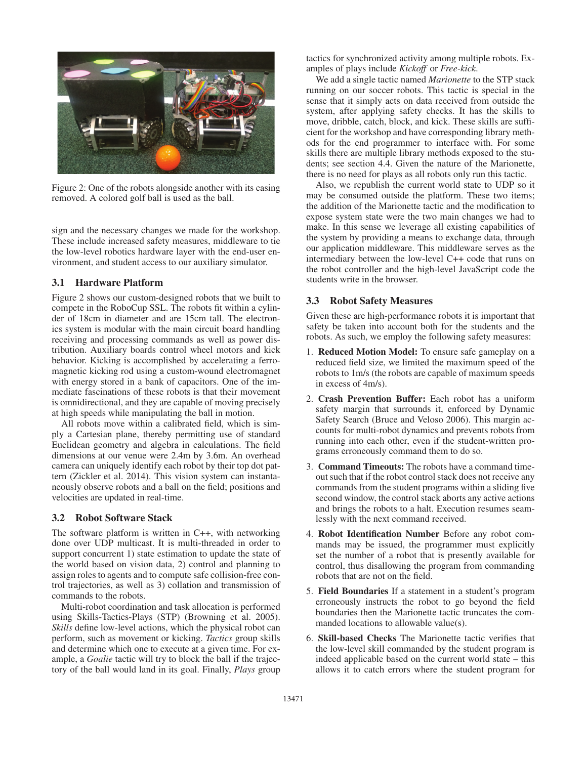

Figure 2: One of the robots alongside another with its casing removed. A colored golf ball is used as the ball.

sign and the necessary changes we made for the workshop. These include increased safety measures, middleware to tie the low-level robotics hardware layer with the end-user environment, and student access to our auxiliary simulator.

### 3.1 Hardware Platform

Figure 2 shows our custom-designed robots that we built to compete in the RoboCup SSL. The robots fit within a cylinder of 18cm in diameter and are 15cm tall. The electronics system is modular with the main circuit board handling receiving and processing commands as well as power distribution. Auxiliary boards control wheel motors and kick behavior. Kicking is accomplished by accelerating a ferromagnetic kicking rod using a custom-wound electromagnet with energy stored in a bank of capacitors. One of the immediate fascinations of these robots is that their movement is omnidirectional, and they are capable of moving precisely at high speeds while manipulating the ball in motion.

All robots move within a calibrated field, which is simply a Cartesian plane, thereby permitting use of standard Euclidean geometry and algebra in calculations. The field dimensions at our venue were 2.4m by 3.6m. An overhead camera can uniquely identify each robot by their top dot pattern (Zickler et al. 2014). This vision system can instantaneously observe robots and a ball on the field; positions and velocities are updated in real-time.

#### 3.2 Robot Software Stack

The software platform is written in C++, with networking done over UDP multicast. It is multi-threaded in order to support concurrent 1) state estimation to update the state of the world based on vision data, 2) control and planning to assign roles to agents and to compute safe collision-free control trajectories, as well as 3) collation and transmission of commands to the robots.

Multi-robot coordination and task allocation is performed using Skills-Tactics-Plays (STP) (Browning et al. 2005). *Skills* define low-level actions, which the physical robot can perform, such as movement or kicking. *Tactics* group skills and determine which one to execute at a given time. For example, a *Goalie* tactic will try to block the ball if the trajectory of the ball would land in its goal. Finally, *Plays* group

tactics for synchronized activity among multiple robots. Examples of plays include *Kickoff* or *Free-kick*.

We add a single tactic named *Marionette* to the STP stack running on our soccer robots. This tactic is special in the sense that it simply acts on data received from outside the system, after applying safety checks. It has the skills to move, dribble, catch, block, and kick. These skills are sufficient for the workshop and have corresponding library methods for the end programmer to interface with. For some skills there are multiple library methods exposed to the students; see section 4.4. Given the nature of the Marionette, there is no need for plays as all robots only run this tactic.

Also, we republish the current world state to UDP so it may be consumed outside the platform. These two items; the addition of the Marionette tactic and the modification to expose system state were the two main changes we had to make. In this sense we leverage all existing capabilities of the system by providing a means to exchange data, through our application middleware. This middleware serves as the intermediary between the low-level C++ code that runs on the robot controller and the high-level JavaScript code the students write in the browser.

#### 3.3 Robot Safety Measures

Given these are high-performance robots it is important that safety be taken into account both for the students and the robots. As such, we employ the following safety measures:

- 1. Reduced Motion Model: To ensure safe gameplay on a reduced field size, we limited the maximum speed of the robots to 1m/s (the robots are capable of maximum speeds in excess of 4m/s).
- 2. Crash Prevention Buffer: Each robot has a uniform safety margin that surrounds it, enforced by Dynamic Safety Search (Bruce and Veloso 2006). This margin accounts for multi-robot dynamics and prevents robots from running into each other, even if the student-written programs erroneously command them to do so.
- 3. Command Timeouts: The robots have a command timeout such that if the robot control stack does not receive any commands from the student programs within a sliding five second window, the control stack aborts any active actions and brings the robots to a halt. Execution resumes seamlessly with the next command received.
- 4. Robot Identification Number Before any robot commands may be issued, the programmer must explicitly set the number of a robot that is presently available for control, thus disallowing the program from commanding robots that are not on the field.
- 5. Field Boundaries If a statement in a student's program erroneously instructs the robot to go beyond the field boundaries then the Marionette tactic truncates the commanded locations to allowable value(s).
- 6. Skill-based Checks The Marionette tactic verifies that the low-level skill commanded by the student program is indeed applicable based on the current world state – this allows it to catch errors where the student program for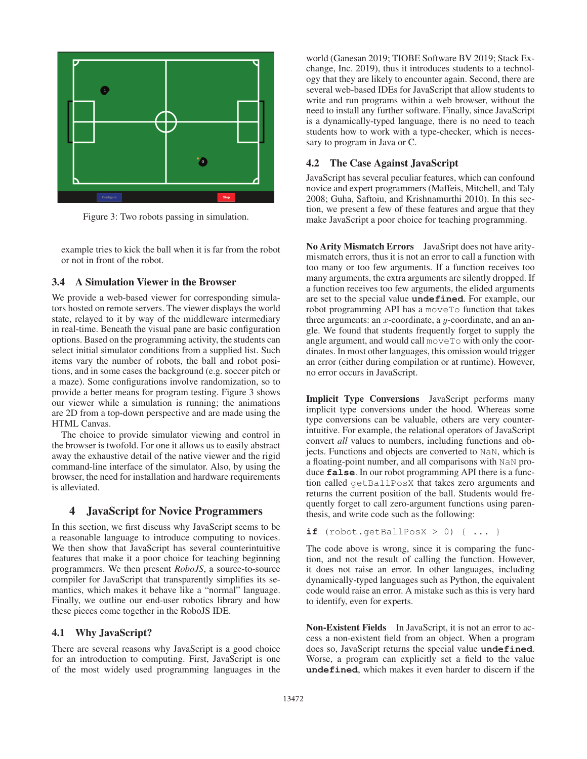

Figure 3: Two robots passing in simulation.

example tries to kick the ball when it is far from the robot or not in front of the robot.

#### 3.4 A Simulation Viewer in the Browser

We provide a web-based viewer for corresponding simulators hosted on remote servers. The viewer displays the world state, relayed to it by way of the middleware intermediary in real-time. Beneath the visual pane are basic configuration options. Based on the programming activity, the students can select initial simulator conditions from a supplied list. Such items vary the number of robots, the ball and robot positions, and in some cases the background (e.g. soccer pitch or a maze). Some configurations involve randomization, so to provide a better means for program testing. Figure 3 shows our viewer while a simulation is running; the animations are 2D from a top-down perspective and are made using the HTML Canvas.

The choice to provide simulator viewing and control in the browser is twofold. For one it allows us to easily abstract away the exhaustive detail of the native viewer and the rigid command-line interface of the simulator. Also, by using the browser, the need for installation and hardware requirements is alleviated.

#### 4 JavaScript for Novice Programmers

In this section, we first discuss why JavaScript seems to be a reasonable language to introduce computing to novices. We then show that JavaScript has several counterintuitive features that make it a poor choice for teaching beginning programmers. We then present *RoboJS*, a source-to-source compiler for JavaScript that transparently simplifies its semantics, which makes it behave like a "normal" language. Finally, we outline our end-user robotics library and how these pieces come together in the RoboJS IDE.

#### 4.1 Why JavaScript?

There are several reasons why JavaScript is a good choice for an introduction to computing. First, JavaScript is one of the most widely used programming languages in the

world (Ganesan 2019; TIOBE Software BV 2019; Stack Exchange, Inc. 2019), thus it introduces students to a technology that they are likely to encounter again. Second, there are several web-based IDEs for JavaScript that allow students to write and run programs within a web browser, without the need to install any further software. Finally, since JavaScript is a dynamically-typed language, there is no need to teach students how to work with a type-checker, which is necessary to program in Java or C.

## 4.2 The Case Against JavaScript

JavaScript has several peculiar features, which can confound novice and expert programmers (Maffeis, Mitchell, and Taly 2008; Guha, Saftoiu, and Krishnamurthi 2010). In this section, we present a few of these features and argue that they make JavaScript a poor choice for teaching programming.

No Arity Mismatch Errors JavaSript does not have aritymismatch errors, thus it is not an error to call a function with too many or too few arguments. If a function receives too many arguments, the extra arguments are silently dropped. If a function receives too few arguments, the elided arguments are set to the special value **undefined**. For example, our robot programming API has a moveTo function that takes three arguments: an  $x$ -coordinate, a  $y$ -coordinate, and an angle. We found that students frequently forget to supply the angle argument, and would call moveTo with only the coordinates. In most other languages, this omission would trigger an error (either during compilation or at runtime). However, no error occurs in JavaScript.

Implicit Type Conversions JavaScript performs many implicit type conversions under the hood. Whereas some type conversions can be valuable, others are very counterintuitive. For example, the relational operators of JavaScript convert *all* values to numbers, including functions and objects. Functions and objects are converted to NaN, which is a floating-point number, and all comparisons with NaN produce **false**. In our robot programming API there is a function called getBallPosX that takes zero arguments and returns the current position of the ball. Students would frequently forget to call zero-argument functions using parenthesis, and write code such as the following:

**if** (robot.getBallPosX > 0) { ... }

The code above is wrong, since it is comparing the function, and not the result of calling the function. However, it does not raise an error. In other languages, including dynamically-typed languages such as Python, the equivalent code would raise an error. A mistake such as this is very hard to identify, even for experts.

Non-Existent Fields In JavaScript, it is not an error to access a non-existent field from an object. When a program does so, JavaScript returns the special value **undefined**. Worse, a program can explicitly set a field to the value **undefined**, which makes it even harder to discern if the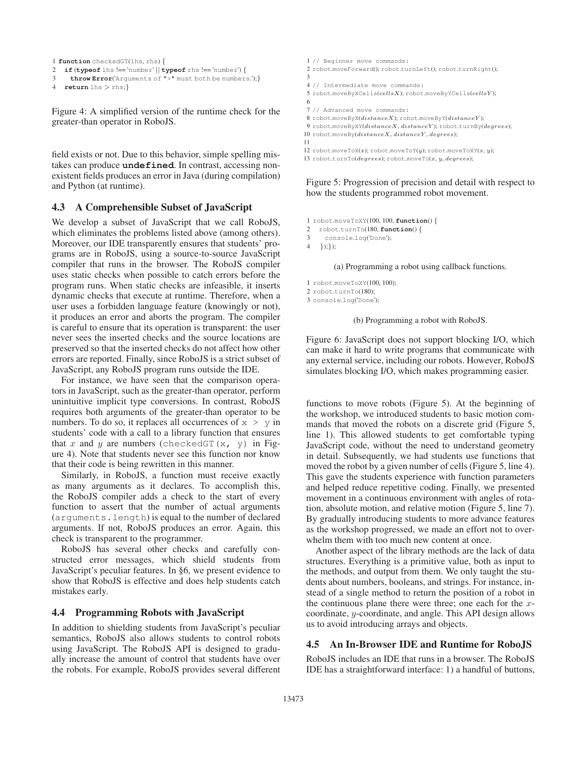```
1 function checkedGT(lhs, rhs) {
```

```
2 if (typeof lhs !== 'number' || typeof rhs !== 'number') {
```

```
3 throw Error('Arguments of ">" must both be numbers.');}
```

```
4 return lhs > rhs;}
```
Figure 4: A simplified version of the runtime check for the greater-than operator in RoboJS.

field exists or not. Due to this behavior, simple spelling mistakes can produce **undefined**. In contrast, accessing nonexistent fields produces an error in Java (during compilation) and Python (at runtime).

### 4.3 A Comprehensible Subset of JavaScript

We develop a subset of JavaScript that we call RoboJS, which eliminates the problems listed above (among others). Moreover, our IDE transparently ensures that students' programs are in RoboJS, using a source-to-source JavaScript compiler that runs in the browser. The RoboJS compiler uses static checks when possible to catch errors before the program runs. When static checks are infeasible, it inserts dynamic checks that execute at runtime. Therefore, when a user uses a forbidden language feature (knowingly or not), it produces an error and aborts the program. The compiler is careful to ensure that its operation is transparent: the user never sees the inserted checks and the source locations are preserved so that the inserted checks do not affect how other errors are reported. Finally, since RoboJS is a strict subset of JavaScript, any RoboJS program runs outside the IDE.

For instance, we have seen that the comparison operators in JavaScript, such as the greater-than operator, perform unintuitive implicit type conversions. In contrast, RoboJS requires both arguments of the greater-than operator to be numbers. To do so, it replaces all occurrences of  $x > y$  in students' code with a call to a library function that ensures that x and y are numbers (checkedGT(x, y) in Figure 4). Note that students never see this function nor know that their code is being rewritten in this manner.

Similarly, in RoboJS, a function must receive exactly as many arguments as it declares. To accomplish this, the RoboJS compiler adds a check to the start of every function to assert that the number of actual arguments (arguments.length) is equal to the number of declared arguments. If not, RoboJS produces an error. Again, this check is transparent to the programmer.

RoboJS has several other checks and carefully constructed error messages, which shield students from JavaScript's peculiar features. In §6, we present evidence to show that RoboJS is effective and does help students catch mistakes early.

### 4.4 Programming Robots with JavaScript

In addition to shielding students from JavaScript's peculiar semantics, RoboJS also allows students to control robots using JavaScript. The RoboJS API is designed to gradually increase the amount of control that students have over the robots. For example, RoboJS provides several different

 // Beginner move commands: robot.moveForward(); robot.turnLeft(); robot.turnRight(); 3 // Intermediate move commands: robot.moveByXCells(cellsX); robot.moveByYCells(cellsY ); 6 // Advanced move commands: robot.moveByX(distanceX); robot.moveByY(distanceY ); 9 robot.moveByXY(distanceX, distanceY); robot.turnBy(degrees);  $\text{robot.moveBy}(distance X, distance Y, degree S);$ 11

12 robot.moveToX(x); robot.moveToY(y); robot.moveToXY(x, y);

13 robot.turnTo( $degrees$ ); robot.moveTo( $x, y, degrees$ );

Figure 5: Progression of precision and detail with respect to how the students programmed robot movement.

- 1 robot.moveToXY(100, 100, **function**() {
- 2 robot.turnTo(180, **function**() {
- 3 console.log('Done');

4 });});

(a) Programming a robot using callback functions.

1 robot.moveToXY(100, 100);

2 robot.turnTo(180);

3 console.log('Done');

(b) Programming a robot with RoboJS.

Figure 6: JavaScript does not support blocking I/O, which can make it hard to write programs that communicate with any external service, including our robots. However, RoboJS simulates blocking I/O, which makes programming easier.

functions to move robots (Figure 5). At the beginning of the workshop, we introduced students to basic motion commands that moved the robots on a discrete grid (Figure 5, line 1). This allowed students to get comfortable typing JavaScript code, without the need to understand geometry in detail. Subsequently, we had students use functions that moved the robot by a given number of cells (Figure 5, line 4). This gave the students experience with function parameters and helped reduce repetitive coding. Finally, we presented movement in a continuous environment with angles of rotation, absolute motion, and relative motion (Figure 5, line 7). By gradually introducing students to more advance features as the workshop progressed, we made an effort not to overwhelm them with too much new content at once.

Another aspect of the library methods are the lack of data structures. Everything is a primitive value, both as input to the methods, and output from them. We only taught the students about numbers, booleans, and strings. For instance, instead of a single method to return the position of a robot in the continuous plane there were three; one each for the  $x$ coordinate, y-coordinate, and angle. This API design allows us to avoid introducing arrays and objects.

# 4.5 An In-Browser IDE and Runtime for RoboJS

RoboJS includes an IDE that runs in a browser. The RoboJS IDE has a straightforward interface: 1) a handful of buttons,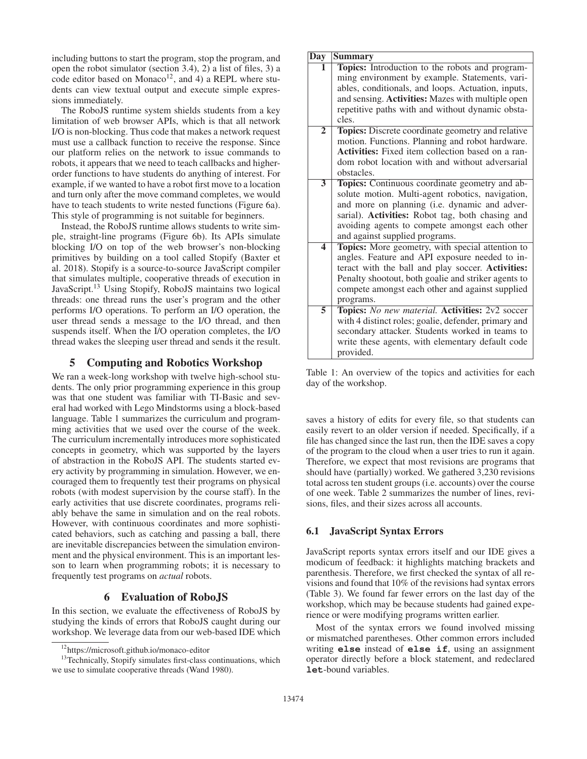including buttons to start the program, stop the program, and open the robot simulator (section 3.4), 2) a list of files, 3) a code editor based on Monaco<sup>12</sup>, and 4) a REPL where students can view textual output and execute simple expressions immediately.

The RoboJS runtime system shields students from a key limitation of web browser APIs, which is that all network I/O is non-blocking. Thus code that makes a network request must use a callback function to receive the response. Since our platform relies on the network to issue commands to robots, it appears that we need to teach callbacks and higherorder functions to have students do anything of interest. For example, if we wanted to have a robot first move to a location and turn only after the move command completes, we would have to teach students to write nested functions (Figure 6a). This style of programming is not suitable for beginners.

Instead, the RoboJS runtime allows students to write simple, straight-line programs (Figure 6b). Its APIs simulate blocking I/O on top of the web browser's non-blocking primitives by building on a tool called Stopify (Baxter et al. 2018). Stopify is a source-to-source JavaScript compiler that simulates multiple, cooperative threads of execution in JavaScript.13 Using Stopify, RoboJS maintains two logical threads: one thread runs the user's program and the other performs I/O operations. To perform an I/O operation, the user thread sends a message to the I/O thread, and then suspends itself. When the I/O operation completes, the I/O thread wakes the sleeping user thread and sends it the result.

# 5 Computing and Robotics Workshop

We ran a week-long workshop with twelve high-school students. The only prior programming experience in this group was that one student was familiar with TI-Basic and several had worked with Lego Mindstorms using a block-based language. Table 1 summarizes the curriculum and programming activities that we used over the course of the week. The curriculum incrementally introduces more sophisticated concepts in geometry, which was supported by the layers of abstraction in the RoboJS API. The students started every activity by programming in simulation. However, we encouraged them to frequently test their programs on physical robots (with modest supervision by the course staff). In the early activities that use discrete coordinates, programs reliably behave the same in simulation and on the real robots. However, with continuous coordinates and more sophisticated behaviors, such as catching and passing a ball, there are inevitable discrepancies between the simulation environment and the physical environment. This is an important lesson to learn when programming robots; it is necessary to frequently test programs on *actual* robots.

### 6 Evaluation of RoboJS

In this section, we evaluate the effectiveness of RoboJS by studying the kinds of errors that RoboJS caught during our workshop. We leverage data from our web-based IDE which

| Day                     | <b>Summary</b>                                       |
|-------------------------|------------------------------------------------------|
| 1                       | Topics: Introduction to the robots and program-      |
|                         | ming environment by example. Statements, vari-       |
|                         | ables, conditionals, and loops. Actuation, inputs,   |
|                         | and sensing. Activities: Mazes with multiple open    |
|                         | repetitive paths with and without dynamic obsta-     |
|                         | cles.                                                |
| $\overline{2}$          | Topics: Discrete coordinate geometry and relative    |
|                         | motion. Functions. Planning and robot hardware.      |
|                         | Activities: Fixed item collection based on a ran-    |
|                         | dom robot location with and without adversarial      |
|                         | obstacles.                                           |
| $\overline{3}$          | Topics: Continuous coordinate geometry and ab-       |
|                         | solute motion. Multi-agent robotics, navigation,     |
|                         | and more on planning (i.e. dynamic and adver-        |
|                         | sarial). Activities: Robot tag, both chasing and     |
|                         | avoiding agents to compete amongst each other        |
|                         | and against supplied programs.                       |
| $\overline{\mathbf{4}}$ | Topics: More geometry, with special attention to     |
|                         | angles. Feature and API exposure needed to in-       |
|                         | teract with the ball and play soccer. Activities:    |
|                         | Penalty shootout, both goalie and striker agents to  |
|                         | compete amongst each other and against supplied      |
|                         | programs.                                            |
| $\overline{5}$          | Topics: No new material. Activities: 2v2 soccer      |
|                         | with 4 distinct roles; goalie, defender, primary and |
|                         | secondary attacker. Students worked in teams to      |
|                         | write these agents, with elementary default code     |
|                         | provided.                                            |

Table 1: An overview of the topics and activities for each day of the workshop.

saves a history of edits for every file, so that students can easily revert to an older version if needed. Specifically, if a file has changed since the last run, then the IDE saves a copy of the program to the cloud when a user tries to run it again. Therefore, we expect that most revisions are programs that should have (partially) worked. We gathered 3,230 revisions total across ten student groups (i.e. accounts) over the course of one week. Table 2 summarizes the number of lines, revisions, files, and their sizes across all accounts.

## 6.1 JavaScript Syntax Errors

JavaScript reports syntax errors itself and our IDE gives a modicum of feedback: it highlights matching brackets and parenthesis. Therefore, we first checked the syntax of all revisions and found that 10% of the revisions had syntax errors (Table 3). We found far fewer errors on the last day of the workshop, which may be because students had gained experience or were modifying programs written earlier.

Most of the syntax errors we found involved missing or mismatched parentheses. Other common errors included writing **else** instead of **else if**, using an assignment operator directly before a block statement, and redeclared **let**-bound variables.

<sup>12</sup>https://microsoft.github.io/monaco-editor

<sup>&</sup>lt;sup>13</sup>Technically, Stopify simulates first-class continuations, which we use to simulate cooperative threads (Wand 1980).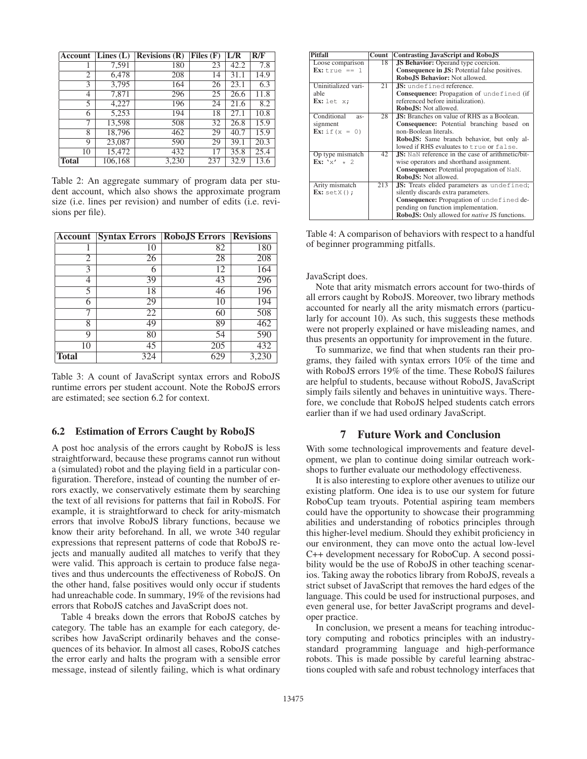| Account        | Lines $(L)$ | <b>Revisions</b> $(R)$ | Files $(F)$ | L/R  | R/F  |
|----------------|-------------|------------------------|-------------|------|------|
| 1              | 7,591       | 180                    | 23          | 42.2 | 7.8  |
| $\overline{2}$ | 6,478       | 208                    | 14          | 31.1 | 14.9 |
| 3              | 3,795       | 164                    | 26          | 23.1 | 6.3  |
| 4              | 7,871       | 296                    | 25          | 26.6 | 11.8 |
| 5              | 4,227       | 196                    | 24          | 21.6 | 8.2  |
| 6              | 5,253       | 194                    | 18          | 27.1 | 10.8 |
| 7              | 13,598      | 508                    | 32          | 26.8 | 15.9 |
| 8              | 18,796      | 462                    | 29          | 40.7 | 15.9 |
| 9              | 23,087      | 590                    | 29          | 39.1 | 20.3 |
| 10             | 15,472      | 432                    | 17          | 35.8 | 25.4 |
| <b>Total</b>   | 106,168     | 3,230                  | 237         | 32.9 | 13.6 |

Table 2: An aggregate summary of program data per student account, which also shows the approximate program size (i.e. lines per revision) and number of edits (i.e. revisions per file).

| <b>Account</b> | <b>Syntax Errors</b> | <b>RoboJS Errors</b> | <b>Revisions</b> |
|----------------|----------------------|----------------------|------------------|
|                | 10                   | 82                   | 180              |
| 2              | 26                   | 28                   | 208              |
| 3              | 6                    | 12                   | 164              |
| 4              | 39                   | 43                   | 296              |
| 5              | 18                   | 46                   | 196              |
| 6              | 29                   | 10                   | 194              |
|                | 22                   | 60                   | 508              |
| 8              | 49                   | 89                   | 462              |
| 9              | 80                   | 54                   | 590              |
| 10             | 45                   | 205                  | 432              |
| <b>Total</b>   | 324                  | 629                  | 3,230            |

Table 3: A count of JavaScript syntax errors and RoboJS runtime errors per student account. Note the RoboJS errors are estimated; see section 6.2 for context.

## 6.2 Estimation of Errors Caught by RoboJS

A post hoc analysis of the errors caught by RoboJS is less straightforward, because these programs cannot run without a (simulated) robot and the playing field in a particular configuration. Therefore, instead of counting the number of errors exactly, we conservatively estimate them by searching the text of all revisions for patterns that fail in RoboJS. For example, it is straightforward to check for arity-mismatch errors that involve RoboJS library functions, because we know their arity beforehand. In all, we wrote 340 regular expressions that represent patterns of code that RoboJS rejects and manually audited all matches to verify that they were valid. This approach is certain to produce false negatives and thus undercounts the effectiveness of RoboJS. On the other hand, false positives would only occur if students had unreachable code. In summary, 19% of the revisions had errors that RoboJS catches and JavaScript does not.

Table 4 breaks down the errors that RoboJS catches by category. The table has an example for each category, describes how JavaScript ordinarily behaves and the consequences of its behavior. In almost all cases, RoboJS catches the error early and halts the program with a sensible error message, instead of silently failing, which is what ordinary

| Pitfall                           | Count | <b>Contrasting JavaScript and RoboJS</b>                    |
|-----------------------------------|-------|-------------------------------------------------------------|
| Loose comparison                  | 18    | <b>JS Behavior:</b> Operand type coercion.                  |
| Ex: true == $1$                   |       | Consequence in JS: Potential false positives.               |
|                                   |       | <b>Robo.IS Behavior: Not allowed.</b>                       |
| Uninitialized vari-               | 21    | <b>JS:</b> undefined reference.                             |
| able                              |       | <b>Consequence:</b> Propagation of undefined (if            |
| Ex: let $x$ ;                     |       | referenced before initialization).                          |
|                                   |       | <b>Robo.IS:</b> Not allowed.                                |
| Conditional<br>$as-$              | 28    | <b>JS:</b> Branches on value of RHS as a Boolean.           |
| signment                          |       | Consequence: Potential branching based on                   |
| <b>Ex:</b> if $(x = 0)$           |       | non-Boolean literals.                                       |
|                                   |       | <b>Robo, IS:</b> Same branch behavior, but only al-         |
|                                   |       | lowed if RHS evaluates to true or false.                    |
| Op type mismatch                  | 42    | <b>JS:</b> NaN reference in the case of arithmetic/bit-     |
| $\mathbf{Ex:} \; \mathbf{x'} + 2$ |       | wise operators and shorthand assignment.                    |
|                                   |       | <b>Consequence:</b> Potential propagation of NaN.           |
|                                   |       | Robo.IS: Not allowed.                                       |
| Arity mismatch                    | 213   | JS: Treats elided parameters as undefined;                  |
| $Ex: setX()$ ;                    |       | silently discards extra parameters.                         |
|                                   |       | Consequence: Propagation of undefined de-                   |
|                                   |       | pending on function implementation.                         |
|                                   |       | <b>RoboJS:</b> Only allowed for <i>native</i> JS functions. |

Table 4: A comparison of behaviors with respect to a handful of beginner programming pitfalls.

JavaScript does.

Note that arity mismatch errors account for two-thirds of all errors caught by RoboJS. Moreover, two library methods accounted for nearly all the arity mismatch errors (particularly for account 10). As such, this suggests these methods were not properly explained or have misleading names, and thus presents an opportunity for improvement in the future.

To summarize, we find that when students ran their programs, they failed with syntax errors 10% of the time and with RoboJS errors 19% of the time. These RoboJS failures are helpful to students, because without RoboJS, JavaScript simply fails silently and behaves in unintuitive ways. Therefore, we conclude that RoboJS helped students catch errors earlier than if we had used ordinary JavaScript.

# 7 Future Work and Conclusion

With some technological improvements and feature development, we plan to continue doing similar outreach workshops to further evaluate our methodology effectiveness.

It is also interesting to explore other avenues to utilize our existing platform. One idea is to use our system for future RoboCup team tryouts. Potential aspiring team members could have the opportunity to showcase their programming abilities and understanding of robotics principles through this higher-level medium. Should they exhibit proficiency in our environment, they can move onto the actual low-level C++ development necessary for RoboCup. A second possibility would be the use of RoboJS in other teaching scenarios. Taking away the robotics library from RoboJS, reveals a strict subset of JavaScript that removes the hard edges of the language. This could be used for instructional purposes, and even general use, for better JavaScript programs and developer practice.

In conclusion, we present a means for teaching introductory computing and robotics principles with an industrystandard programming language and high-performance robots. This is made possible by careful learning abstractions coupled with safe and robust technology interfaces that